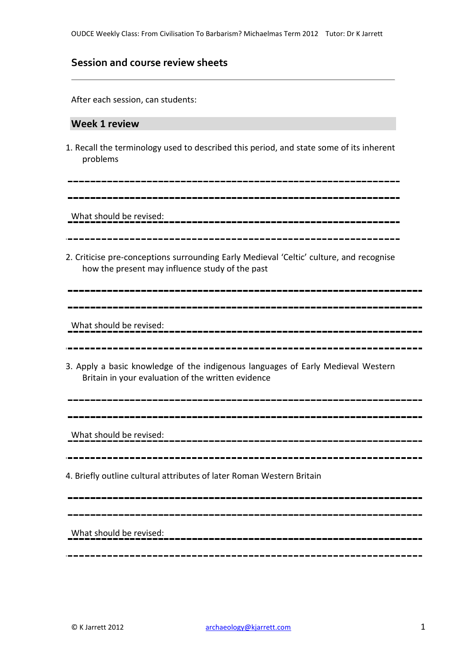## **Session and course review sheets**

After each session, can students:

#### **Week 1 review**

1. Recall the terminology used to described this period, and state some of its inherent problems

What should be revised:

2. Criticise pre-conceptions surrounding Early Medieval 'Celtic' culture, and recognise how the present may influence study of the past

\_\_\_\_\_\_\_\_\_\_\_\_\_\_\_\_\_\_\_\_

What should be revised:

3. Apply a basic knowledge of the indigenous languages of Early Medieval Western Britain in your evaluation of the written evidence

What should be revised:

4. Briefly outline cultural attributes of later Roman Western Britain

What should be revised: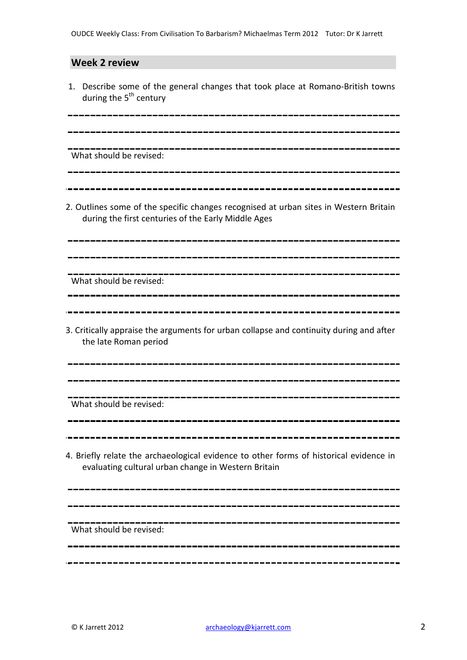### **Week 2 review**

1. Describe some of the general changes that took place at Romano-British towns during the 5<sup>th</sup> century

What should be revised:

2. Outlines some of the specific changes recognised at urban sites in Western Britain during the first centuries of the Early Middle Ages

What should be revised:

3. Critically appraise the arguments for urban collapse and continuity during and after the late Roman period

----------------------------------

What should be revised:

4. Briefly relate the archaeological evidence to other forms of historical evidence in evaluating cultural urban change in Western Britain

What should be revised: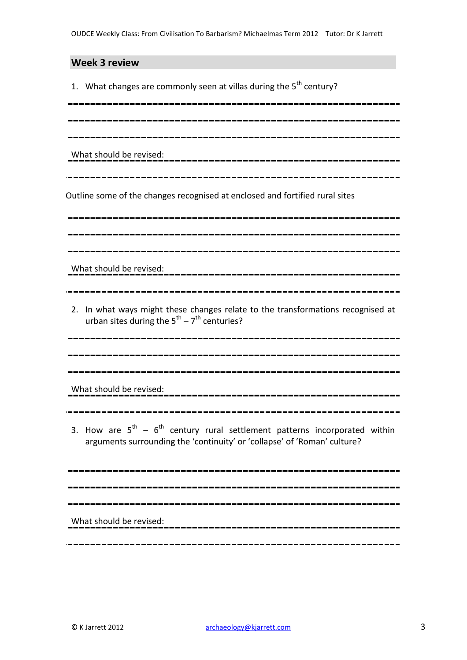### **Week 3 review**

1. What changes are commonly seen at villas during the  $5<sup>th</sup>$  century?

\_\_\_\_\_\_\_\_\_\_\_\_\_\_\_\_\_\_\_\_\_\_\_\_\_\_\_\_

What should be revised:

Outline some of the changes recognised at enclosed and fortified rural sites

What should be revised:

2. In what ways might these changes relate to the transformations recognised at urban sites during the  $5^{\text{th}} - 7^{\text{th}}$  centuries?

-----------------------

What should be revised:

- 
- 3. How are  $5^{th}$   $6^{th}$  century rural settlement patterns incorporated within arguments surrounding the 'continuity' or 'collapse' of 'Roman' culture?

What should be revised: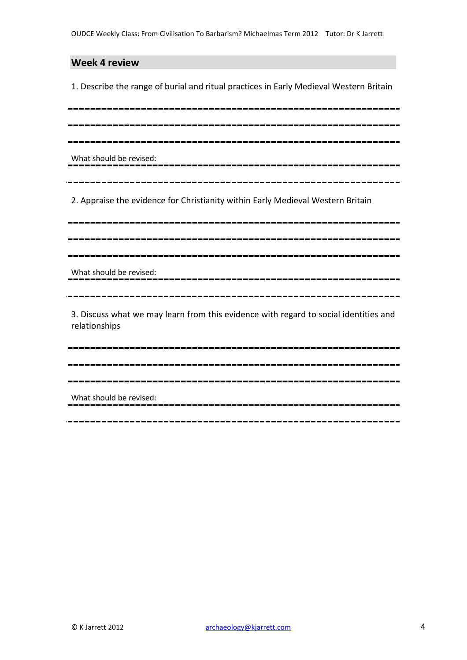#### **Week 4 review**

1. Describe the range of burial and ritual practices in Early Medieval Western Britain

What should be revised: 2. Appraise the evidence for Christianity within Early Medieval Western Britain What should be revised: \_\_\_\_\_\_\_\_\_\_\_\_\_\_\_\_\_\_\_\_\_ 

3. Discuss what we may learn from this evidence with regard to social identities and relationships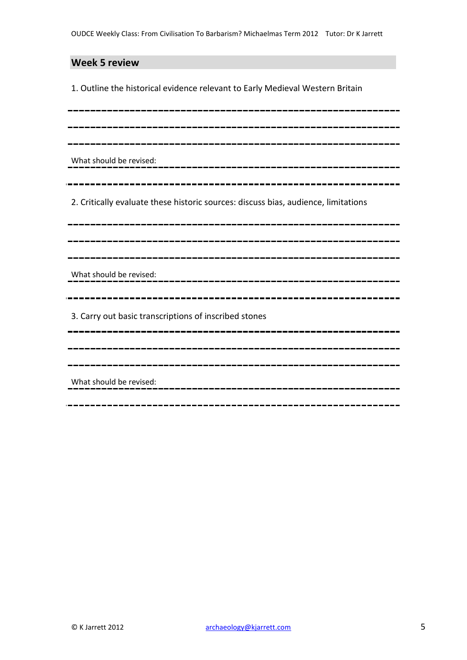# **Week 5 review**

1. Outline the historical evidence relevant to Early Medieval Western Britain

| What should be revised:                                                            |
|------------------------------------------------------------------------------------|
| 2. Critically evaluate these historic sources: discuss bias, audience, limitations |
|                                                                                    |
| What should be revised:                                                            |
| 3. Carry out basic transcriptions of inscribed stones                              |
| _____________________<br>---------------------                                     |
| What should be revised:                                                            |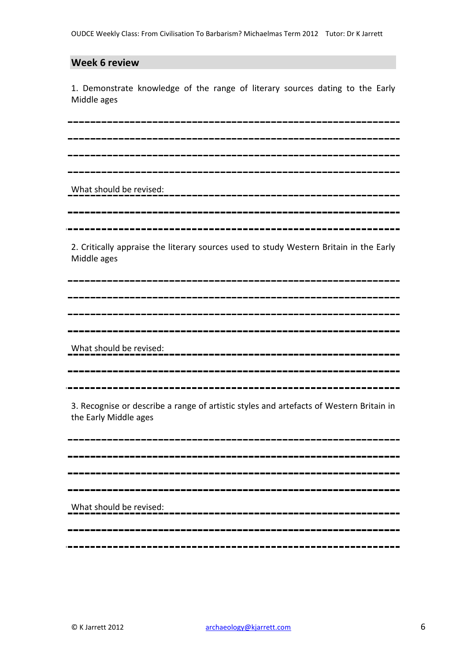### **Week 6 review**

1. Demonstrate knowledge of the range of literary sources dating to the Early Middle ages

What should be revised: 

2. Critically appraise the literary sources used to study Western Britain in the Early Middle ages

What should be revised: ----------------------------

3. Recognise or describe a range of artistic styles and artefacts of Western Britain in the Early Middle ages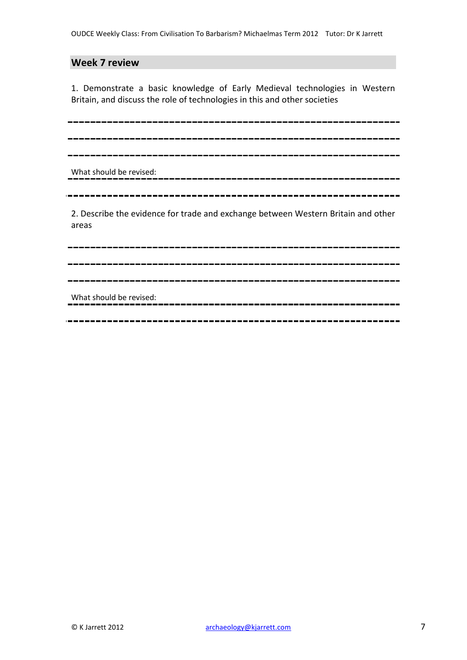## **Week 7 review**

1. Demonstrate a basic knowledge of Early Medieval technologies in Western Britain, and discuss the role of technologies in this and other societies

What should be revised: 2. Describe the evidence for trade and exchange between Western Britain and other areas 

What should be revised: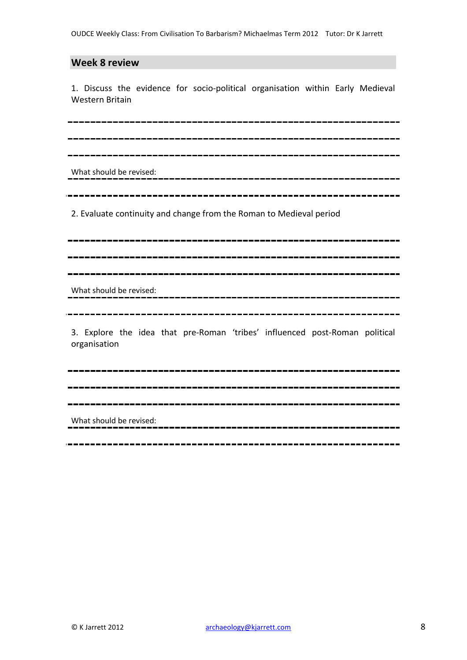#### **Week 8 review**

1. Discuss the evidence for socio-political organisation within Early Medieval Western Britain

What should be revised:

2. Evaluate continuity and change from the Roman to Medieval period

What should be revised:

3. Explore the idea that pre-Roman 'tribes' influenced post-Roman political organisation

. \_ \_ \_ \_ \_ \_ \_ \_ \_ \_ \_ \_ \_ \_ \_

What should be revised:

\_\_\_\_\_\_\_\_\_\_\_\_\_\_\_\_\_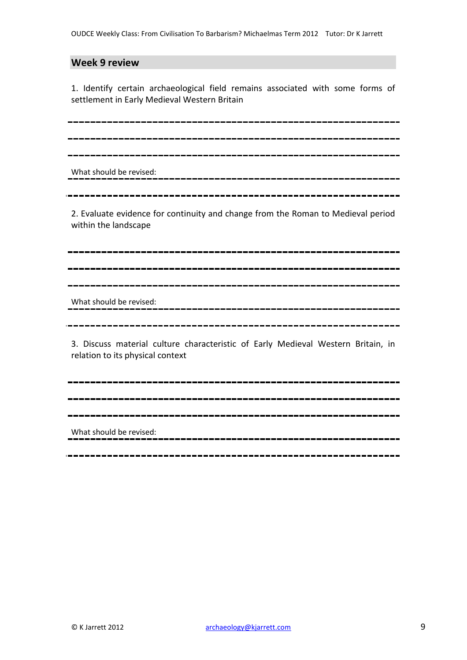### **Week 9 review**

1. Identify certain archaeological field remains associated with some forms of settlement in Early Medieval Western Britain

What should be revised:

2. Evaluate evidence for continuity and change from the Roman to Medieval period within the landscape

What should be revised:

3. Discuss material culture characteristic of Early Medieval Western Britain, in relation to its physical context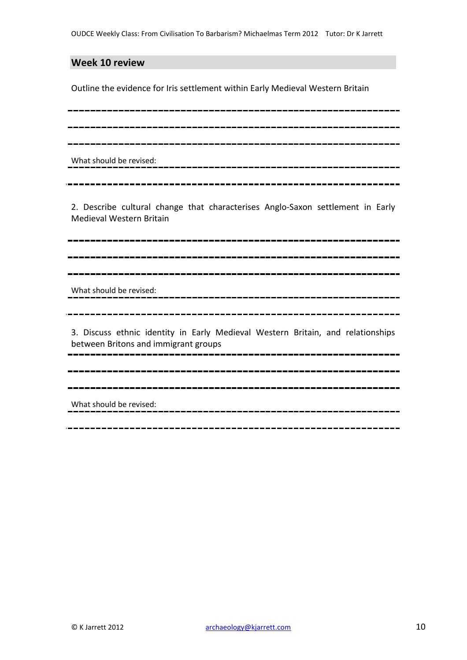### **Week 10 review**

Outline the evidence for Iris settlement within Early Medieval Western Britain

What should be revised:

2. Describe cultural change that characterises Anglo-Saxon settlement in Early Medieval Western Britain

What should be revised:

3. Discuss ethnic identity in Early Medieval Western Britain, and relationships between Britons and immigrant groups